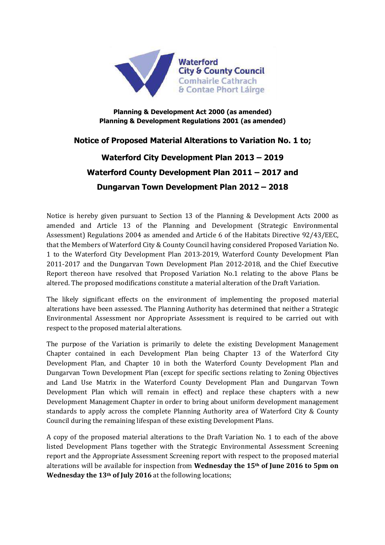

## **Planning & Development Act 2000 (as amended) Planning & Development Regulations 2001 (as amended)**

## **Notice of Proposed Material Alterations to Variation No. 1 to;**

## **Waterford City Development Plan 2013 – 2019 Waterford County Development Plan 2011 – 2017 and Dungarvan Town Development Plan 2012 – 2018**

Notice is hereby given pursuant to Section 13 of the Planning & Development Acts 2000 as amended and Article 13 of the Planning and Development (Strategic Environmental Assessment) Regulations 2004 as amended and Article 6 of the Habitats Directive 92/43/EEC, that the Members of Waterford City & County Council having considered Proposed Variation No. 1 to the Waterford City Development Plan 2013-2019, Waterford County Development Plan 2011-2017 and the Dungarvan Town Development Plan 2012-2018, and the Chief Executive Report thereon have resolved that Proposed Variation No.1 relating to the above Plans be altered. The proposed modifications constitute a material alteration of the Draft Variation.

The likely significant effects on the environment of implementing the proposed material alterations have been assessed. The Planning Authority has determined that neither a Strategic Environmental Assessment nor Appropriate Assessment is required to be carried out with respect to the proposed material alterations.

The purpose of the Variation is primarily to delete the existing Development Management Chapter contained in each Development Plan being Chapter 13 of the Waterford City Development Plan, and Chapter 10 in both the Waterford County Development Plan and Dungarvan Town Development Plan (except for specific sections relating to Zoning Objectives and Land Use Matrix in the Waterford County Development Plan and Dungarvan Town Development Plan which will remain in effect) and replace these chapters with a new Development Management Chapter in order to bring about uniform development management standards to apply across the complete Planning Authority area of Waterford City & County Council during the remaining lifespan of these existing Development Plans.

A copy of the proposed material alterations to the Draft Variation No. 1 to each of the above listed Development Plans together with the Strategic Environmental Assessment Screening report and the Appropriate Assessment Screening report with respect to the proposed material alterations will be available for inspection from **Wednesday the 15th of June 2016 to 5pm on Wednesday the 13th of July 2016** at the following locations;